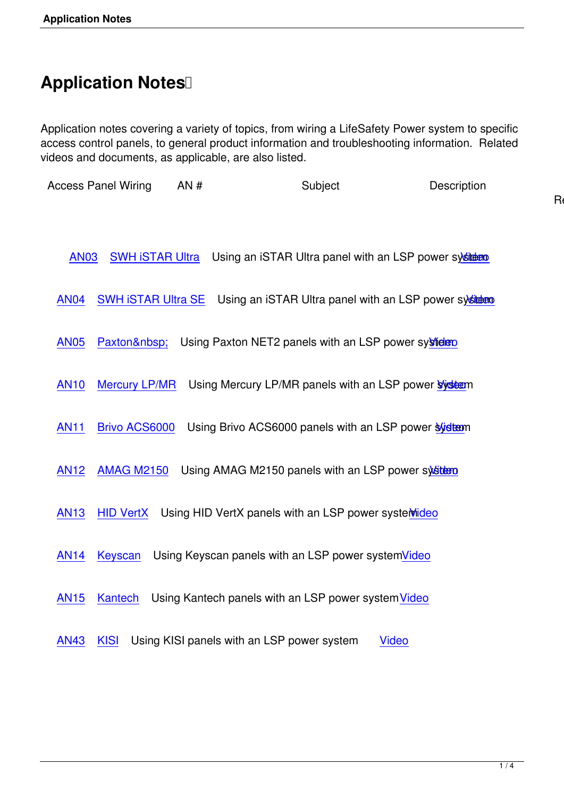## **Application Notes**

Application notes covering a variety of topics, from wiring a LifeSafety Power system to specific access control panels, to general product information and troubleshooting information. Related videos and documents, as applicable, are also listed.

Access Panel Wiring AN # Subject Description

| <b>AN03</b><br>SWH ISTAR Ultra Using an ISTAR Ultra panel with an LSP power system                |
|---------------------------------------------------------------------------------------------------|
| <b>AN04</b><br>Using an iSTAR Ultra panel with an LSP power sysident<br><b>SWH ISTAR Ultra SE</b> |
| <b>AN05</b><br>Using Paxton NET2 panels with an LSP power systider<br>Paxton                      |
| <b>AN10</b><br><b>Mercury LP/MR</b><br>Using Mercury LP/MR panels with an LSP power system        |
| <b>AN11</b><br><b>Brivo ACS6000</b><br>Using Brivo ACS6000 panels with an LSP power syidtem       |
| <b>AN12</b><br><b>AMAG M2150</b><br>Using AMAG M2150 panels with an LSP power system              |
| <b>AN13</b><br>Using HID VertX panels with an LSP power systemideo<br><b>HID VertX</b>            |
| <b>AN14</b><br>Using Keyscan panels with an LSP power systemVideo<br><b>Keyscan</b>               |
| <b>AN15</b><br>Using Kantech panels with an LSP power system Video<br>Kantech                     |
| <b>AN43</b><br>Using KISI panels with an LSP power system<br><b>KISI</b><br><b>Video</b>          |

Relat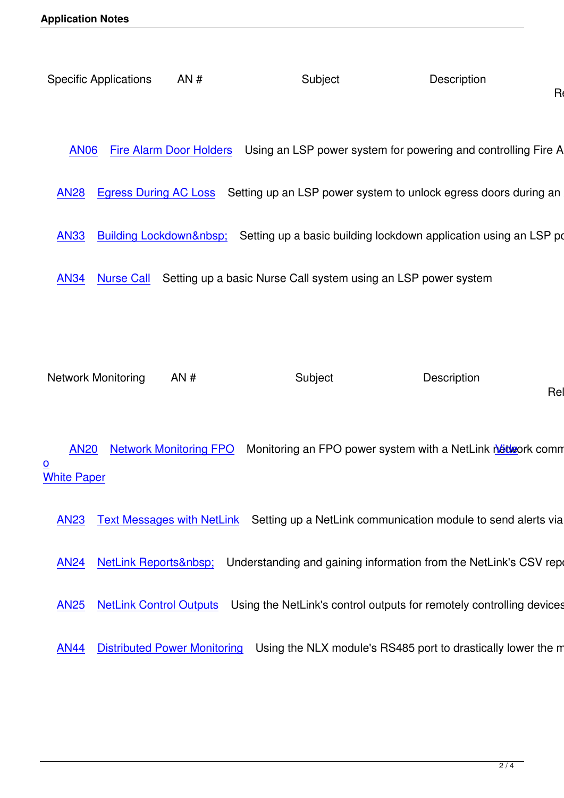Relat

AN06 Fire Alarm Door Holders Using an LSP power system for powering and controlling Fire Alarm

A[N28 Egress During AC Loss S](docs/an06_fire-alarm-door-holder.pdf)etting up an LSP power system to unlock egress doors during an AC

- [AN33](docs/an28_egress_ac_loss.pdf) Building Lockdown Setting up a basic building lockdown application using an LSP power
- [AN34](docs/an33_building_lockdown.pdf) [Nurse Call Setting up a b](docs/an33_building_lockdown.pdf)asic Nurse Call system using an LSP power system

Network Monitoring  $AN #$  Subject Description

Relate

AN20 Network Monitoring FPO Monitoring an FPO power system with a NetLink network communication module Video <u>o</u> contract the contract of the contract of the contract of the contract of the contract of the contract of the contract of the contract of the contract of the contract of the contract of the contract of the contract of t **White Paper** 

AN23 Text Messages with NetLink Setting up a NetLink communication module to send alerts via text

[AN24](docs/an23_netlink_text_alerts.pdf) NetLink Reports Understanding and gaining information from the NetLink's CSV reports

[AN25](docs/an24_understanding_netlink_reporting.pdf) [NetLink Control Outputs](docs/an24_understanding_netlink_reporting.pdf) Using the NetLink's control outputs for remotely controlling devices and outputs

[AN44](docs/an25_netlink_control.pdf) [Distributed Power Monito](docs/an25_netlink_control.pdf)ring Using the NLX module's RS485 port to drastically lower the mon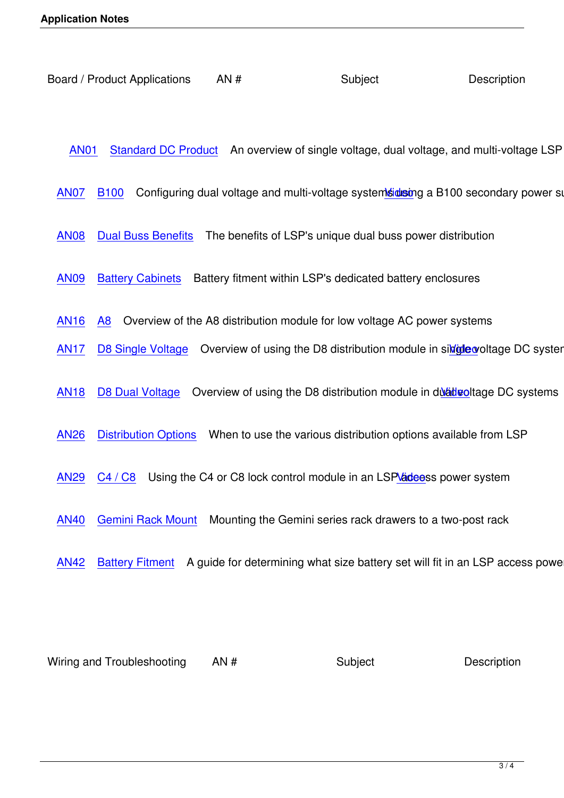AN01 Standard DC Product An overview of single voltage, dual voltage, and multi-voltage LSP pro

A[N07 B100 Configuring dual](docs/an01_standard-dc-product.pdf) voltage and multi-voltage systemsidesing a B100 secondary power supply

- [AN08](docs/an07_cost-effective-dualv-system.pdf) [Dual B](docs/an07_cost-effective-dualv-system.pdf)uss Benefits The benefits of LSP's unique dual [buss po](docs/videos/english/B100/B100_player.html)wer distribution
- [AN09](docs/an08_accessbrd_dual_buss_benefits.pdf) [Battery Cabinets](docs/an08_accessbrd_dual_buss_benefits.pdf) Battery fitment within LSP's dedicated battery enclosures
- [AN16](docs/an09_battery_configurations.pdf) [A8 Overview of](docs/an09_battery_configurations.pdf) the A8 distribution module for low voltage AC power systems
- AN17 D8 Single Voltage Overview of using the D8 distribution module in single woltage DC systems
- [AN18](docs/an17_d8-single_voltage.pdf) [D8 Dual Voltage](docs/an17_d8-single_voltage.pdf) Overview of using the D8 distribution module in dual veloce DC systems
- [AN26](docs/an18_d8-dual_voltage.pdf) [Distribution Optio](docs/an18_d8-dual_voltage.pdf)ns When to use the various distribution options a[vailabl](docs/videos/english/_D8/_D8_player.html)e from LSP
- [AN29](docs/an26_fpo_distribution_options.pdf) [C4 / C8 Using the](docs/an26_fpo_distribution_options.pdf) C4 or C8 lock control module in an LSP addeess power system
- [AN40](docs/an29_lock_control.pdf) [Gemini](docs/an29_lock_control.pdf) Rack Mount Mounting the Gemini series rack dra[wers to](docs/videos/english/_C8/_C8_player.html) a two-post rack
- [AN42](docs/an40_gemini_2-post.pdf) [Battery Fitment A](docs/an40_gemini_2-post.pdf) guide for determining what size battery set will fit in an LSP access power sy